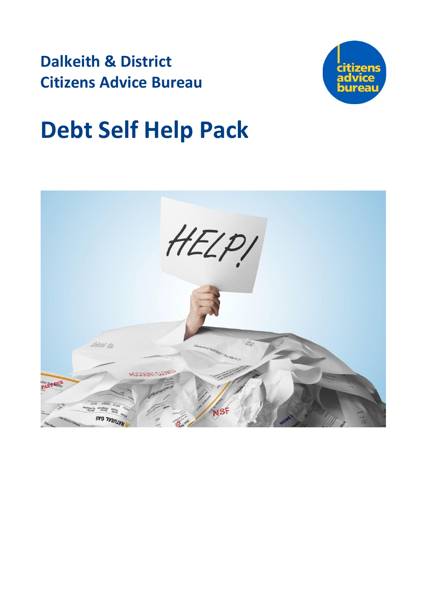**Dalkeith & District Citizens Advice Bureau**



# **Debt Self Help Pack**

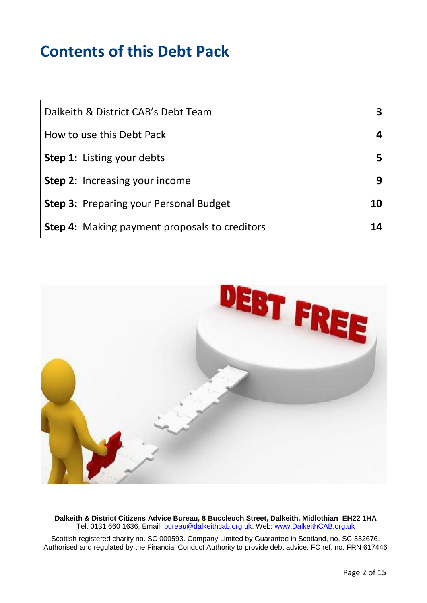## **Contents of this Debt Pack**

| Dalkeith & District CAB's Debt Team                  |  |
|------------------------------------------------------|--|
| How to use this Debt Pack                            |  |
| <b>Step 1:</b> Listing your debts                    |  |
| <b>Step 2:</b> Increasing your income                |  |
| <b>Step 3: Preparing your Personal Budget</b>        |  |
| <b>Step 4:</b> Making payment proposals to creditors |  |



**Dalkeith & District Citizens Advice Bureau, 8 Buccleuch Street, Dalkeith, Midlothian EH22 1HA** Tel. 0131 660 1636, Email: [bureau@dalkeithcab.org.uk.](mailto:bureau@dalkeithcab.org.uk) Web: [www.DalkeithCAB.org.uk](http://www.dalkeithcab.org.uk/)

Scottish registered charity no. SC 000593. Company Limited by Guarantee in Scotland, no. SC 332676. Authorised and regulated by the Financial Conduct Authority to provide debt advice. FC ref. no. FRN 617446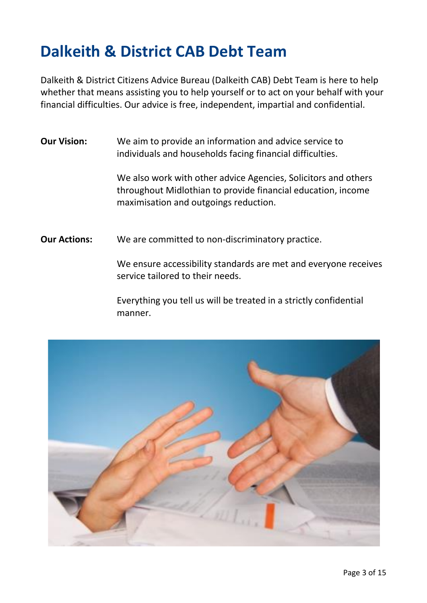## **Dalkeith & District CAB Debt Team**

Dalkeith & District Citizens Advice Bureau (Dalkeith CAB) Debt Team is here to help whether that means assisting you to help yourself or to act on your behalf with your financial difficulties. Our advice is free, independent, impartial and confidential.

**Our Vision:** We aim to provide an information and advice service to individuals and households facing financial difficulties.

> We also work with other advice Agencies, Solicitors and others throughout Midlothian to provide financial education, income maximisation and outgoings reduction.

**Our Actions:** We are committed to non-discriminatory practice.

We ensure accessibility standards are met and everyone receives service tailored to their needs.

Everything you tell us will be treated in a strictly confidential manner.

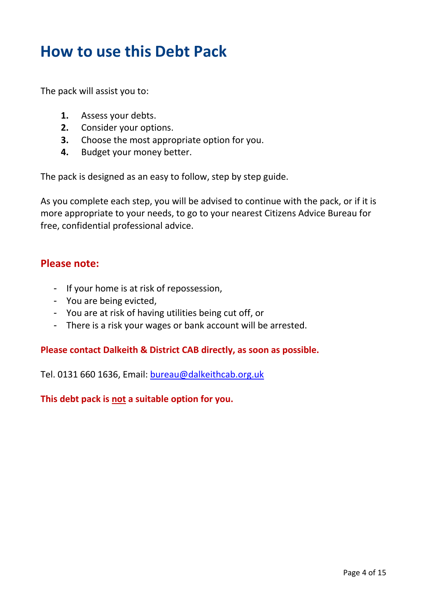## **How to use this Debt Pack**

The pack will assist you to:

- **1.** Assess your debts.
- **2.** Consider your options.
- **3.** Choose the most appropriate option for you.
- **4.** Budget your money better.

The pack is designed as an easy to follow, step by step guide.

As you complete each step, you will be advised to continue with the pack, or if it is more appropriate to your needs, to go to your nearest Citizens Advice Bureau for free, confidential professional advice.

### **Please note:**

- If your home is at risk of repossession,
- You are being evicted,
- You are at risk of having utilities being cut off, or
- There is a risk your wages or bank account will be arrested.

#### **Please contact Dalkeith & District CAB directly, as soon as possible.**

Tel. 0131 660 1636, Email: [bureau@dalkeithcab.org.uk](mailto:bureau@dalkeithcab.org.uk)

**This debt pack is not a suitable option for you.**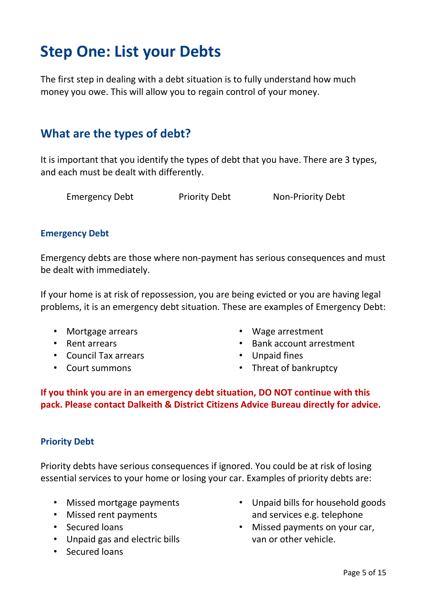## **Step One: List your Debts**

The first step in dealing with a debt situation is to fully understand how much money you owe. This will allow you to regain control of your money.

## **What are the types of debt?**

It is important that you identify the types of debt that you have. There are 3 types, and each must be dealt with differently.

Emergency Debt Priority Debt Non-Priority Debt

#### **Emergency Debt**

Emergency debts are those where non-payment has serious consequences and must be dealt with immediately.

If your home is at risk of repossession, you are being evicted or you are having legal problems, it is an emergency debt situation. These are examples of Emergency Debt:

- Mortgage arrears
- Rent arrears
- Council Tax arrears
- Court summons
- Wage arrestment
- Bank account arrestment
- Unpaid fines
- Threat of bankruptcy

**If you think you are in an emergency debt situation, DO NOT continue with this pack. Please contact Dalkeith & District Citizens Advice Bureau directly for advice.** 

### **Priority Debt**

Priority debts have serious consequences if ignored. You could be at risk of losing essential services to your home or losing your car. Examples of priority debts are:

- Missed mortgage payments
- Missed rent payments
- Secured loans
- Unpaid gas and electric bills
- Secured loans
- Unpaid bills for household goods and services e.g. telephone
- Missed payments on your car, van or other vehicle.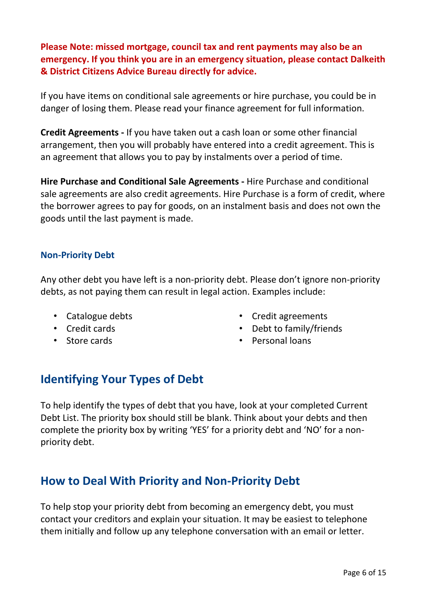**Please Note: missed mortgage, council tax and rent payments may also be an emergency. If you think you are in an emergency situation, please contact Dalkeith & District Citizens Advice Bureau directly for advice.**

If you have items on conditional sale agreements or hire purchase, you could be in danger of losing them. Please read your finance agreement for full information.

**Credit Agreements -** If you have taken out a cash loan or some other financial arrangement, then you will probably have entered into a credit agreement. This is an agreement that allows you to pay by instalments over a period of time.

**Hire Purchase and Conditional Sale Agreements -** Hire Purchase and conditional sale agreements are also credit agreements. Hire Purchase is a form of credit, where the borrower agrees to pay for goods, on an instalment basis and does not own the goods until the last payment is made.

#### **Non-Priority Debt**

Any other debt you have left is a non-priority debt. Please don't ignore non-priority debts, as not paying them can result in legal action. Examples include:

- Catalogue debts
- Credit cards
- Store cards
- Credit agreements
- Debt to family/friends
- Personal loans

## **Identifying Your Types of Debt**

To help identify the types of debt that you have, look at your completed Current Debt List. The priority box should still be blank. Think about your debts and then complete the priority box by writing 'YES' for a priority debt and 'NO' for a nonpriority debt.

## **How to Deal With Priority and Non-Priority Debt**

To help stop your priority debt from becoming an emergency debt, you must contact your creditors and explain your situation. It may be easiest to telephone them initially and follow up any telephone conversation with an email or letter.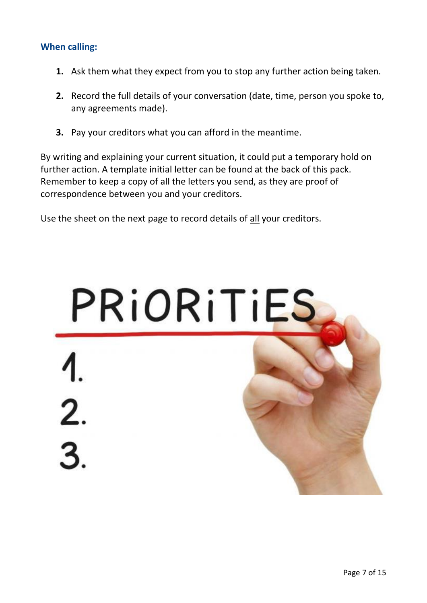### **When calling:**

- **1.** Ask them what they expect from you to stop any further action being taken.
- **2.** Record the full details of your conversation (date, time, person you spoke to, any agreements made).
- **3.** Pay your creditors what you can afford in the meantime.

By writing and explaining your current situation, it could put a temporary hold on further action. A template initial letter can be found at the back of this pack. Remember to keep a copy of all the letters you send, as they are proof of correspondence between you and your creditors.

Use the sheet on the next page to record details of all your creditors.

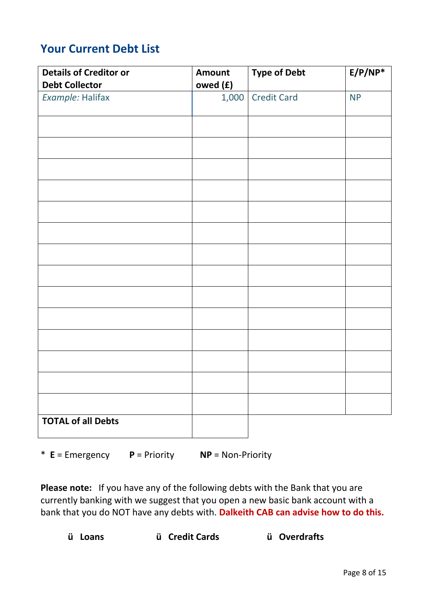## **Your Current Debt List**

| <b>Details of Creditor or</b><br><b>Debt Collector</b> | <b>Amount</b><br>owed (£) | <b>Type of Debt</b> | $E/P/NP^*$ |
|--------------------------------------------------------|---------------------------|---------------------|------------|
| Example: Halifax                                       | 1,000                     | <b>Credit Card</b>  | <b>NP</b>  |
|                                                        |                           |                     |            |
|                                                        |                           |                     |            |
|                                                        |                           |                     |            |
|                                                        |                           |                     |            |
|                                                        |                           |                     |            |
|                                                        |                           |                     |            |
|                                                        |                           |                     |            |
|                                                        |                           |                     |            |
|                                                        |                           |                     |            |
|                                                        |                           |                     |            |
|                                                        |                           |                     |            |
|                                                        |                           |                     |            |
|                                                        |                           |                     |            |
|                                                        |                           |                     |            |
| <b>TOTAL of all Debts</b>                              |                           |                     |            |

\* **E** = Emergency **P** = Priority **NP** = Non-Priority

**Please note:** If you have any of the following debts with the Bank that you are currently banking with we suggest that you open a new basic bank account with a bank that you do NOT have any debts with. **Dalkeith CAB can advise how to do this.**

 **ü Loans ü Credit Cards ü Overdrafts**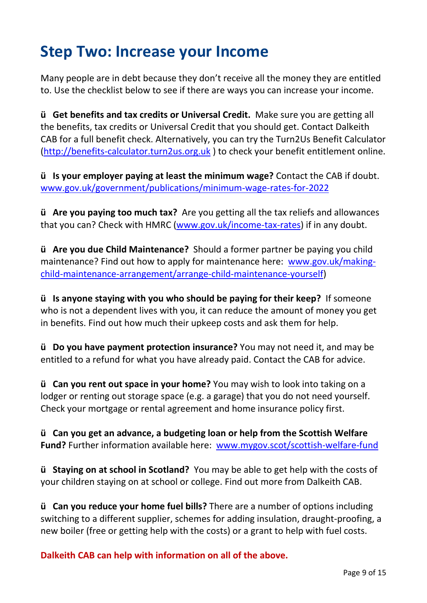## **Step Two: Increase your Income**

Many people are in debt because they don't receive all the money they are entitled to. Use the checklist below to see if there are ways you can increase your income.

**ü Get benefits and tax credits or Universal Credit.** Make sure you are getting all the benefits, tax credits or Universal Credit that you should get. Contact Dalkeith CAB for a full benefit check. Alternatively, you can try the Turn2Us Benefit Calculator [\(http://benefits-calculator.turn2us.org.uk](http://benefits-calculator.turn2us.org.uk/) ) to check your benefit entitlement online.

**ü Is your employer paying at least the minimum wage?** Contact the CAB if doubt. [www.gov.uk/government/publications/minimum-wage-rates-for-2022](http://www.gov.uk/government/publications/minimum-wage-rates-for-2022) 

**ü Are you paying too much tax?** Are you getting all the tax reliefs and allowances that you can? Check with HMRC [\(www.gov.uk/income-tax-rates\)](http://www.gov.uk/income-tax-rates) if in any doubt.

**ü Are you due Child Maintenance?** Should a former partner be paying you child maintenance? Find out how to apply for maintenance here: [www.gov.uk/making](http://www.gov.uk/making-child-maintenance-arrangement/arrange-child-maintenance-yourself)[child-maintenance-arrangement/arrange-child-maintenance-yourself\)](http://www.gov.uk/making-child-maintenance-arrangement/arrange-child-maintenance-yourself)

**ü Is anyone staying with you who should be paying for their keep?** If someone who is not a dependent lives with you, it can reduce the amount of money you get in benefits. Find out how much their upkeep costs and ask them for help.

**ü Do you have payment protection insurance?** You may not need it, and may be entitled to a refund for what you have already paid. Contact the CAB for advice.

**ü Can you rent out space in your home?** You may wish to look into taking on a lodger or renting out storage space (e.g. a garage) that you do not need yourself. Check your mortgage or rental agreement and home insurance policy first.

**ü Can you get an advance, a budgeting loan or help from the Scottish Welfare Fund?** Further information available here: [www.mygov.scot/scottish-welfare-fund](http://www.mygov.scot/scottish-welfare-fund)

**ü Staying on at school in Scotland?** You may be able to get help with the costs of your children staying on at school or college. Find out more from Dalkeith CAB.

**ü Can you reduce your home fuel bills?** There are a number of options including switching to a different supplier, schemes for adding insulation, draught-proofing, a new boiler (free or getting help with the costs) or a grant to help with fuel costs.

**Dalkeith CAB can help with information on all of the above.**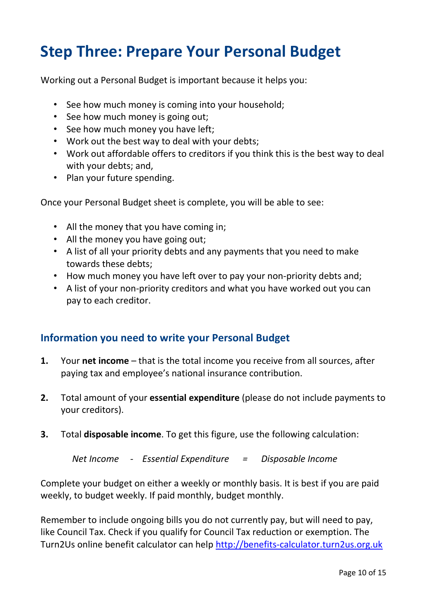## **Step Three: Prepare Your Personal Budget**

Working out a Personal Budget is important because it helps you:

- See how much money is coming into your household;
- See how much money is going out;
- See how much money you have left;
- Work out the best way to deal with your debts;
- Work out affordable offers to creditors if you think this is the best way to deal with your debts; and,
- Plan your future spending.

Once your Personal Budget sheet is complete, you will be able to see:

- All the money that you have coming in;
- All the money you have going out;
- A list of all your priority debts and any payments that you need to make towards these debts;
- How much money you have left over to pay your non-priority debts and;
- A list of your non-priority creditors and what you have worked out you can pay to each creditor.

## **Information you need to write your Personal Budget**

- **1.** Your **net income** that is the total income you receive from all sources, after paying tax and employee's national insurance contribution.
- **2.** Total amount of your **essential expenditure** (please do not include payments to your creditors).
- **3.** Total **disposable income**. To get this figure, use the following calculation:

 *Net Income - Essential Expenditure = Disposable Income*

Complete your budget on either a weekly or monthly basis. It is best if you are paid weekly, to budget weekly. If paid monthly, budget monthly.

Remember to include ongoing bills you do not currently pay, but will need to pay, like Council Tax. Check if you qualify for Council Tax reduction or exemption. The Turn2Us online benefit calculator can help [http://benefits-calculator.turn2us.org.uk](http://benefits-calculator.turn2us.org.uk/)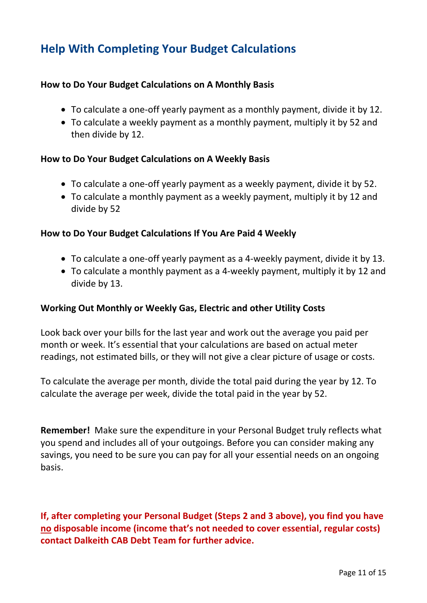## **Help With Completing Your Budget Calculations**

### **How to Do Your Budget Calculations on A Monthly Basis**

- To calculate a one-off yearly payment as a monthly payment, divide it by 12.
- To calculate a weekly payment as a monthly payment, multiply it by 52 and then divide by 12.

#### **How to Do Your Budget Calculations on A Weekly Basis**

- To calculate a one-off yearly payment as a weekly payment, divide it by 52.
- To calculate a monthly payment as a weekly payment, multiply it by 12 and divide by 52

#### **How to Do Your Budget Calculations If You Are Paid 4 Weekly**

- To calculate a one-off yearly payment as a 4-weekly payment, divide it by 13.
- To calculate a monthly payment as a 4-weekly payment, multiply it by 12 and divide by 13.

#### **Working Out Monthly or Weekly Gas, Electric and other Utility Costs**

Look back over your bills for the last year and work out the average you paid per month or week. It's essential that your calculations are based on actual meter readings, not estimated bills, or they will not give a clear picture of usage or costs.

To calculate the average per month, divide the total paid during the year by 12. To calculate the average per week, divide the total paid in the year by 52.

**Remember!** Make sure the expenditure in your Personal Budget truly reflects what you spend and includes all of your outgoings. Before you can consider making any savings, you need to be sure you can pay for all your essential needs on an ongoing basis.

**If, after completing your Personal Budget (Steps 2 and 3 above), you find you have no disposable income (income that's not needed to cover essential, regular costs) contact Dalkeith CAB Debt Team for further advice.**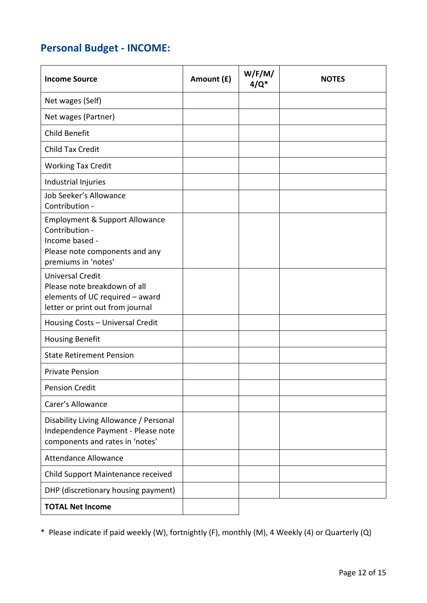## **Personal Budget - INCOME:**

| <b>Income Source</b>                                                                                                                   | Amount (£) | W/F/M/<br>$4/Q^*$ | <b>NOTES</b> |
|----------------------------------------------------------------------------------------------------------------------------------------|------------|-------------------|--------------|
| Net wages (Self)                                                                                                                       |            |                   |              |
| Net wages (Partner)                                                                                                                    |            |                   |              |
| Child Benefit                                                                                                                          |            |                   |              |
| <b>Child Tax Credit</b>                                                                                                                |            |                   |              |
| <b>Working Tax Credit</b>                                                                                                              |            |                   |              |
| Industrial Injuries                                                                                                                    |            |                   |              |
| Job Seeker's Allowance<br>Contribution -                                                                                               |            |                   |              |
| <b>Employment &amp; Support Allowance</b><br>Contribution -<br>Income based -<br>Please note components and any<br>premiums in 'notes' |            |                   |              |
| <b>Universal Credit</b><br>Please note breakdown of all<br>elements of UC required - award<br>letter or print out from journal         |            |                   |              |
| Housing Costs - Universal Credit                                                                                                       |            |                   |              |
| <b>Housing Benefit</b>                                                                                                                 |            |                   |              |
| <b>State Retirement Pension</b>                                                                                                        |            |                   |              |
| <b>Private Pension</b>                                                                                                                 |            |                   |              |
| <b>Pension Credit</b>                                                                                                                  |            |                   |              |
| Carer's Allowance                                                                                                                      |            |                   |              |
| Disability Living Allowance / Personal<br>Independence Payment - Please note<br>components and rates in 'notes'                        |            |                   |              |
| <b>Attendance Allowance</b>                                                                                                            |            |                   |              |
| Child Support Maintenance received                                                                                                     |            |                   |              |
| DHP (discretionary housing payment)                                                                                                    |            |                   |              |
| <b>TOTAL Net Income</b>                                                                                                                |            |                   |              |

\* Please indicate if paid weekly (W), fortnightly (F), monthly (M), 4 Weekly (4) or Quarterly (Q)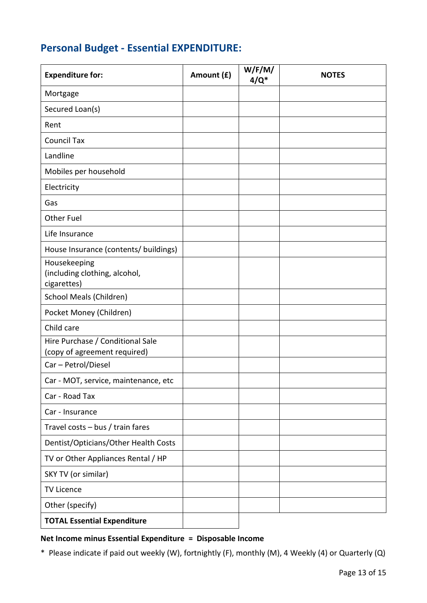## **Personal Budget - Essential EXPENDITURE:**

| <b>Expenditure for:</b>                                          | Amount (£) | W/F/M/<br>$4/Q^*$ | <b>NOTES</b> |
|------------------------------------------------------------------|------------|-------------------|--------------|
| Mortgage                                                         |            |                   |              |
| Secured Loan(s)                                                  |            |                   |              |
| Rent                                                             |            |                   |              |
| <b>Council Tax</b>                                               |            |                   |              |
| Landline                                                         |            |                   |              |
| Mobiles per household                                            |            |                   |              |
| Electricity                                                      |            |                   |              |
| Gas                                                              |            |                   |              |
| <b>Other Fuel</b>                                                |            |                   |              |
| Life Insurance                                                   |            |                   |              |
| House Insurance (contents/ buildings)                            |            |                   |              |
| Housekeeping<br>(including clothing, alcohol,<br>cigarettes)     |            |                   |              |
| School Meals (Children)                                          |            |                   |              |
| Pocket Money (Children)                                          |            |                   |              |
| Child care                                                       |            |                   |              |
| Hire Purchase / Conditional Sale<br>(copy of agreement required) |            |                   |              |
| Car - Petrol/Diesel                                              |            |                   |              |
| Car - MOT, service, maintenance, etc                             |            |                   |              |
| Car - Road Tax                                                   |            |                   |              |
| Car - Insurance                                                  |            |                   |              |
| Travel costs - bus / train fares                                 |            |                   |              |
| Dentist/Opticians/Other Health Costs                             |            |                   |              |
| TV or Other Appliances Rental / HP                               |            |                   |              |
| SKY TV (or similar)                                              |            |                   |              |
| <b>TV Licence</b>                                                |            |                   |              |
| Other (specify)                                                  |            |                   |              |
| <b>TOTAL Essential Expenditure</b>                               |            |                   |              |

#### **Net Income minus Essential Expenditure = Disposable Income**

\* Please indicate if paid out weekly (W), fortnightly (F), monthly (M), 4 Weekly (4) or Quarterly (Q)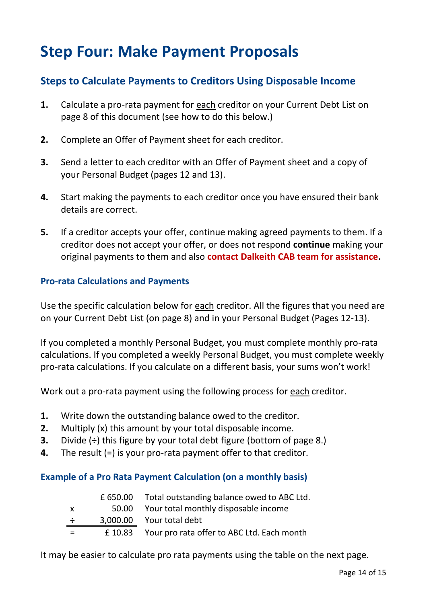## **Step Four: Make Payment Proposals**

## **Steps to Calculate Payments to Creditors Using Disposable Income**

- **1.** Calculate a pro-rata payment for each creditor on your Current Debt List on page 8 of this document (see how to do this below.)
- **2.** Complete an Offer of Payment sheet for each creditor.
- **3.** Send a letter to each creditor with an Offer of Payment sheet and a copy of your Personal Budget (pages 12 and 13).
- **4.** Start making the payments to each creditor once you have ensured their bank details are correct.
- **5.** If a creditor accepts your offer, continue making agreed payments to them. If a creditor does not accept your offer, or does not respond **continue** making your original payments to them and also **contact Dalkeith CAB team for assistance.**

### **Pro-rata Calculations and Payments**

Use the specific calculation below for each creditor. All the figures that you need are on your Current Debt List (on page 8) and in your Personal Budget (Pages 12-13).

If you completed a monthly Personal Budget, you must complete monthly pro-rata calculations. If you completed a weekly Personal Budget, you must complete weekly pro-rata calculations. If you calculate on a different basis, your sums won't work!

Work out a pro-rata payment using the following process for each creditor.

- **1.** Write down the outstanding balance owed to the creditor.
- **2.** Multiply (x) this amount by your total disposable income.
- **3.** Divide ( $\div$ ) this figure by your total debt figure (bottom of page 8.)
- **4.** The result (=) is your pro-rata payment offer to that creditor.

### **Example of a Pro Rata Payment Calculation (on a monthly basis)**

|              | £650.00 Total outstanding balance owed to ABC Ltd. |
|--------------|----------------------------------------------------|
| $\mathsf{x}$ | 50.00 Your total monthly disposable income         |
| $\div$       | 3,000.00 Your total debt                           |
| $=$          | £10.83 Your pro rata offer to ABC Ltd. Each month  |

It may be easier to calculate pro rata payments using the table on the next page.